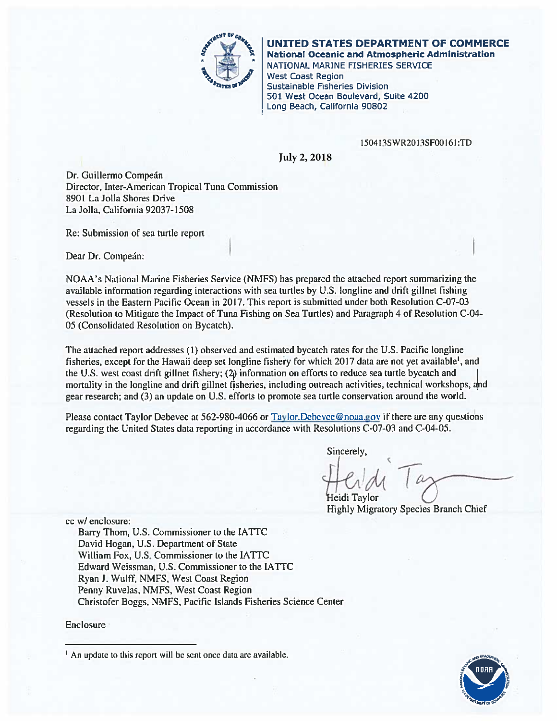

UNITED STATES DEPARTMENT OF COMMERCE **National Oceanic and Atmospheric Administration** 

NATIONAL MARINE FISHERIES SERVICE **West Coast Region Sustainable Fisheries Division** 501 West Ocean Boulevard, Suite 4200 Long Beach, California 90802

#### 150413SWR2013SF00161:TD

**July 2, 2018**

Dr. Guillermo Compeán Director, Inter-American Tropical Tuna Commission 8901 La Jolla Shores Drive La Jolla, California 92037-1508

Re: Submission of sea turtle report

Dear Dr. Compeán:

NOAA's National Marine Fisheries Service (NMFS) has prepared the attached report summarizing the available information regarding interactions with sea turtles by U.S. longline and drift gillnet fishing vessels in the Eastern Pacific Ocean in 2017. This report is submitted under both Resolution C-07-03 (Resolution to Mitigate the Impact of Tuna Fishing on Sea Turtles) and Paragraph 4 of Resolution C-04-05 (Consolidated Resolution on Bycatch).

The attached report addresses (1) observed and estimated bycatch rates for the U.S. Pacific longline fisheries, except for the Hawaii deep set longline fishery for which 2017 data are not yet available<sup>1</sup>, and the U.S. west coast drift gillnet fishery; (2) information on efforts to reduce sea turtle bycatch and mortality in the longline and drift gillnet fisheries, including outreach activities, technical workshops, and gear research; and (3) an update on U.S. efforts to promote sea turtle conservation around the world.

Please contact Taylor Debevec at 562-980-4066 or Taylor. Debevec@noaa.gov if there are any questions regarding the United States data reporting in accordance with Resolutions C-07-03 and C-04-05.

Sincerely,

Heidi Tavlor **Highly Migratory Species Branch Chief** 

cc w/ enclosure:

Barry Thom, U.S. Commissioner to the IATTC David Hogan, U.S. Department of State William Fox, U.S. Commissioner to the IATTC Edward Weissman, U.S. Commissioner to the IATTC Ryan J. Wulff, NMFS, West Coast Region Penny Ruvelas, NMFS, West Coast Region Christofer Boggs, NMFS, Pacific Islands Fisheries Science Center

Enclosure



<sup>&</sup>lt;sup>1</sup> An update to this report will be sent once data are available.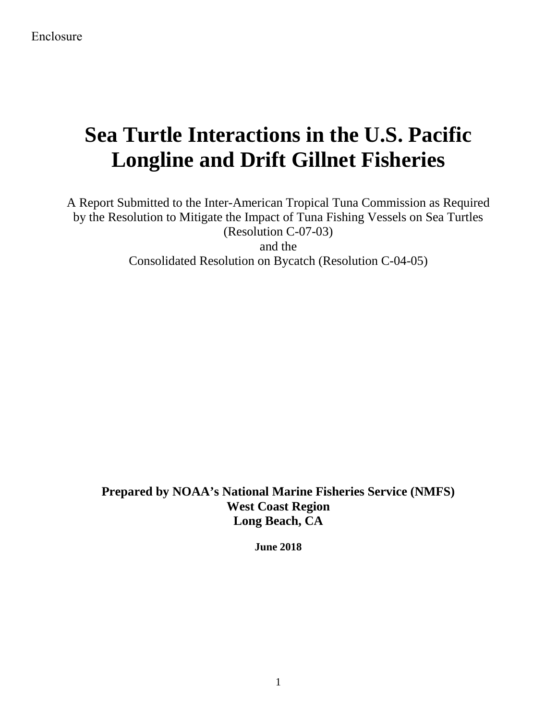# **Sea Turtle Interactions in the U.S. Pacific Longline and Drift Gillnet Fisheries**

A Report Submitted to the Inter-American Tropical Tuna Commission as Required by the Resolution to Mitigate the Impact of Tuna Fishing Vessels on Sea Turtles (Resolution C-07-03) and the Consolidated Resolution on Bycatch (Resolution C-04-05)

**Prepared by NOAA's National Marine Fisheries Service (NMFS) West Coast Region Long Beach, CA**

**June 2018**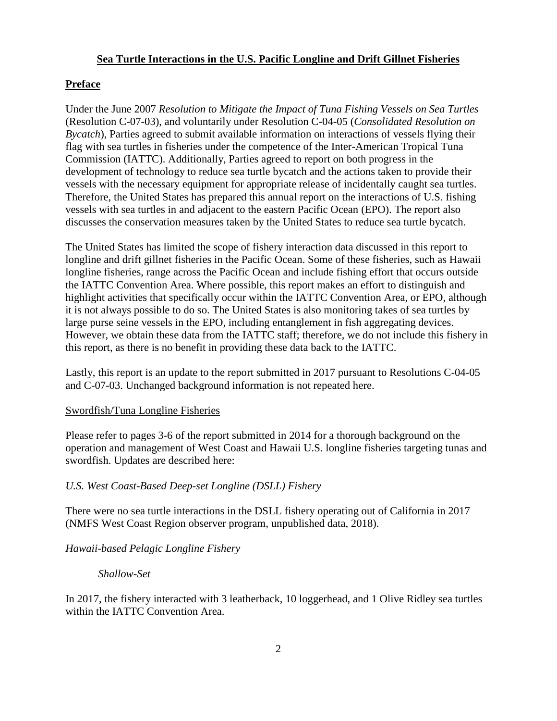## **Sea Turtle Interactions in the U.S. Pacific Longline and Drift Gillnet Fisheries**

## **Preface**

Under the June 2007 *Resolution to Mitigate the Impact of Tuna Fishing Vessels on Sea Turtles* (Resolution C-07-03), and voluntarily under Resolution C-04-05 (*Consolidated Resolution on Bycatch*), Parties agreed to submit available information on interactions of vessels flying their flag with sea turtles in fisheries under the competence of the Inter-American Tropical Tuna Commission (IATTC). Additionally, Parties agreed to report on both progress in the development of technology to reduce sea turtle bycatch and the actions taken to provide their vessels with the necessary equipment for appropriate release of incidentally caught sea turtles. Therefore, the United States has prepared this annual report on the interactions of U.S. fishing vessels with sea turtles in and adjacent to the eastern Pacific Ocean (EPO). The report also discusses the conservation measures taken by the United States to reduce sea turtle bycatch.

The United States has limited the scope of fishery interaction data discussed in this report to longline and drift gillnet fisheries in the Pacific Ocean. Some of these fisheries, such as Hawaii longline fisheries, range across the Pacific Ocean and include fishing effort that occurs outside the IATTC Convention Area. Where possible, this report makes an effort to distinguish and highlight activities that specifically occur within the IATTC Convention Area, or EPO, although it is not always possible to do so. The United States is also monitoring takes of sea turtles by large purse seine vessels in the EPO, including entanglement in fish aggregating devices. However, we obtain these data from the IATTC staff; therefore, we do not include this fishery in this report, as there is no benefit in providing these data back to the IATTC.

Lastly, this report is an update to the report submitted in 2017 pursuant to Resolutions C-04-05 and C-07-03. Unchanged background information is not repeated here.

## Swordfish/Tuna Longline Fisheries

Please refer to pages 3-6 of the report submitted in 2014 for a thorough background on the operation and management of West Coast and Hawaii U.S. longline fisheries targeting tunas and swordfish. Updates are described here:

## *U.S. West Coast-Based Deep-set Longline (DSLL) Fishery*

There were no sea turtle interactions in the DSLL fishery operating out of California in 2017 (NMFS West Coast Region observer program, unpublished data, 2018).

## *Hawaii-based Pelagic Longline Fishery*

#### *Shallow-Set*

In 2017, the fishery interacted with 3 leatherback, 10 loggerhead, and 1 Olive Ridley sea turtles within the IATTC Convention Area.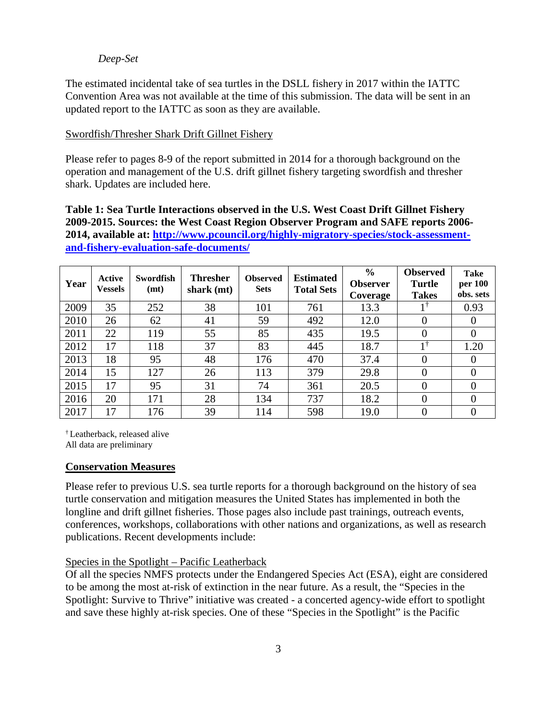#### *Deep-Set*

The estimated incidental take of sea turtles in the DSLL fishery in 2017 within the IATTC Convention Area was not available at the time of this submission. The data will be sent in an updated report to the IATTC as soon as they are available.

## Swordfish/Thresher Shark Drift Gillnet Fishery

Please refer to pages 8-9 of the report submitted in 2014 for a thorough background on the operation and management of the U.S. drift gillnet fishery targeting swordfish and thresher shark. Updates are included here.

**Table 1: Sea Turtle Interactions observed in the U.S. West Coast Drift Gillnet Fishery 2009-2015. Sources: the West Coast Region Observer Program and SAFE reports 2006- 2014, available at: [http://www.pcouncil.org/highly-migratory-species/stock-assessment](http://www.pcouncil.org/highly-migratory-species/stock-assessment-and-fishery-evaluation-safe-documents/)[and-fishery-evaluation-safe-documents/](http://www.pcouncil.org/highly-migratory-species/stock-assessment-and-fishery-evaluation-safe-documents/)**

| Year | Active<br><b>Vessels</b> | <b>Swordfish</b><br>(mt) | <b>Thresher</b><br>shark $(mt)$ | <b>Observed</b><br><b>Sets</b> | <b>Estimated</b><br><b>Total Sets</b> | $\frac{6}{9}$<br><b>Observer</b><br>Coverage | <b>Observed</b><br>Turtle<br><b>Takes</b> | Take<br>per 100<br>obs. sets |
|------|--------------------------|--------------------------|---------------------------------|--------------------------------|---------------------------------------|----------------------------------------------|-------------------------------------------|------------------------------|
| 2009 | 35                       | 252                      | 38                              | 101                            | 761                                   | 13.3                                         | 11                                        | 0.93                         |
| 2010 | 26                       | 62                       | 41                              | 59                             | 492                                   | 12.0                                         | 0                                         |                              |
| 2011 | 22                       | 119                      | 55                              | 85                             | 435                                   | 19.5                                         | 0                                         | 0                            |
| 2012 | 17                       | 118                      | 37                              | 83                             | 445                                   | 18.7                                         | $1^{\circ}$                               | 1.20                         |
| 2013 | 18                       | 95                       | 48                              | 176                            | 470                                   | 37.4                                         | 0                                         | $\theta$                     |
| 2014 | 15                       | 127                      | 26                              | 113                            | 379                                   | 29.8                                         | 0                                         |                              |
| 2015 | 17                       | 95                       | 31                              | 74                             | 361                                   | 20.5                                         | 0                                         |                              |
| 2016 | 20                       | 171                      | 28                              | 134                            | 737                                   | 18.2                                         | 0                                         | 0                            |
| 2017 | 17                       | 176                      | 39                              | 114                            | 598                                   | 19.0                                         | 0                                         |                              |

† Leatherback, released alive All data are preliminary

#### **Conservation Measures**

Please refer to previous U.S. sea turtle reports for a thorough background on the history of sea turtle conservation and mitigation measures the United States has implemented in both the longline and drift gillnet fisheries. Those pages also include past trainings, outreach events, conferences, workshops, collaborations with other nations and organizations, as well as research publications. Recent developments include:

#### Species in the Spotlight – Pacific Leatherback

Of all the species NMFS protects under the Endangered Species Act (ESA), eight are considered to be among the most at-risk of extinction in the near future. As a result, the "Species in the Spotlight: Survive to Thrive" initiative was created - a concerted agency-wide effort to spotlight and save these highly at-risk species. One of these "Species in the Spotlight" is the Pacific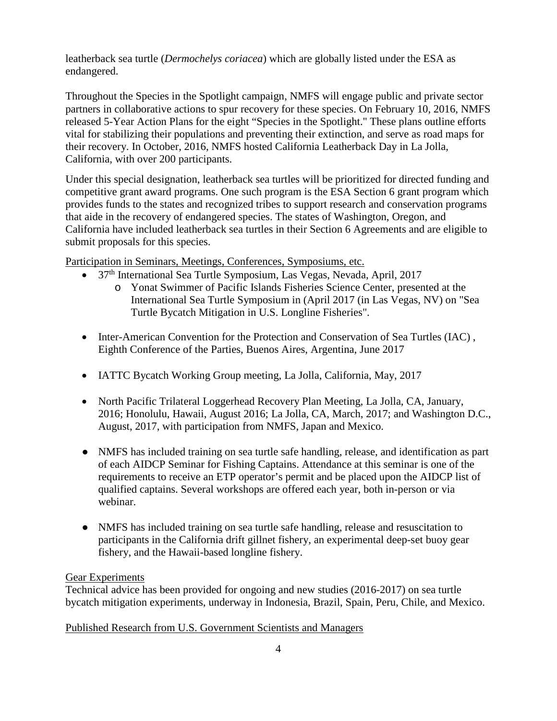leatherback sea turtle (*Dermochelys coriacea*) which are globally listed under the ESA as endangered.

Throughout the Species in the Spotlight campaign, NMFS will engage public and private sector partners in collaborative actions to spur recovery for these species. On February 10, 2016, NMFS released 5-Year Action Plans for the eight "Species in the Spotlight." These plans outline efforts vital for stabilizing their populations and preventing their extinction, and serve as road maps for their recovery. In October, 2016, NMFS hosted California Leatherback Day in La Jolla, California, with over 200 participants.

Under this special designation, leatherback sea turtles will be prioritized for directed funding and competitive grant award programs. One such program is the ESA Section 6 grant program which provides funds to the states and recognized tribes to support research and conservation programs that aide in the recovery of endangered species. The states of Washington, Oregon, and California have included leatherback sea turtles in their Section 6 Agreements and are eligible to submit proposals for this species.

Participation in Seminars, Meetings, Conferences, Symposiums, etc.

- 37<sup>th</sup> International Sea Turtle Symposium, Las Vegas, Nevada, April, 2017
	- o Yonat Swimmer of Pacific Islands Fisheries Science Center, presented at the International Sea Turtle Symposium in (April 2017 (in Las Vegas, NV) on "Sea Turtle Bycatch Mitigation in U.S. Longline Fisheries".
- Inter-American Convention for the Protection and Conservation of Sea Turtles (IAC), Eighth Conference of the Parties, Buenos Aires, Argentina, June 2017
- IATTC Bycatch Working Group meeting, La Jolla, California, May, 2017
- North Pacific Trilateral Loggerhead Recovery Plan Meeting, La Jolla, CA, January, 2016; Honolulu, Hawaii, August 2016; La Jolla, CA, March, 2017; and Washington D.C., August, 2017, with participation from NMFS, Japan and Mexico.
- NMFS has included training on sea turtle safe handling, release, and identification as part of each AIDCP Seminar for Fishing Captains. Attendance at this seminar is one of the requirements to receive an ETP operator's permit and be placed upon the AIDCP list of qualified captains. Several workshops are offered each year, both in-person or via webinar.
- NMFS has included training on sea turtle safe handling, release and resuscitation to participants in the California drift gillnet fishery, an experimental deep-set buoy gear fishery, and the Hawaii-based longline fishery.

## Gear Experiments

Technical advice has been provided for ongoing and new studies (2016-2017) on sea turtle bycatch mitigation experiments, underway in Indonesia, Brazil, Spain, Peru, Chile, and Mexico.

## Published Research from U.S. Government Scientists and Managers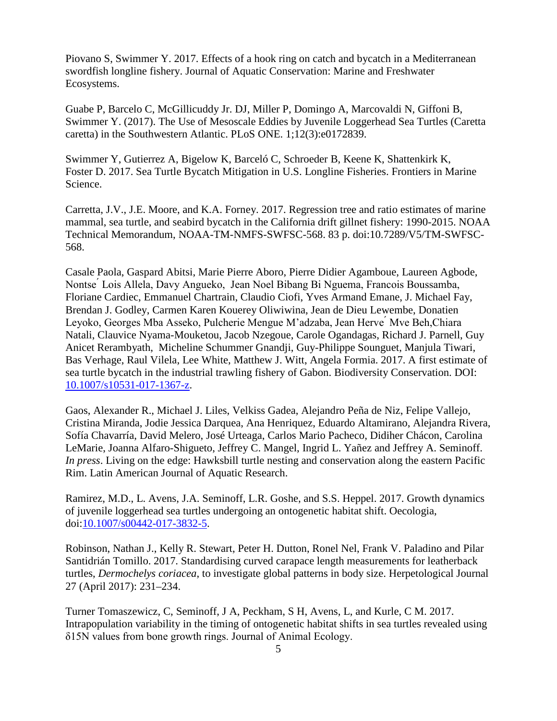Piovano S, Swimmer Y. 2017. Effects of a hook ring on catch and bycatch in a Mediterranean swordfish longline fishery. Journal of Aquatic Conservation: Marine and Freshwater Ecosystems.

Guabe P, Barcelo C, McGillicuddy Jr. DJ, Miller P, Domingo A, Marcovaldi N, Giffoni B, Swimmer Y. (2017). The Use of Mesoscale Eddies by Juvenile Loggerhead Sea Turtles (Caretta caretta) in the Southwestern Atlantic. PLoS ONE. 1;12(3):e0172839.

Swimmer Y, Gutierrez A, Bigelow K, Barceló C, Schroeder B, Keene K, Shattenkirk K, Foster D. 2017. Sea Turtle Bycatch Mitigation in U.S. Longline Fisheries. Frontiers in Marine Science.

Carretta, J.V., J.E. Moore, and K.A. Forney. 2017. Regression tree and ratio estimates of marine mammal, sea turtle, and seabird bycatch in the California drift gillnet fishery: 1990-2015. NOAA Technical Memorandum, NOAA-TM-NMFS-SWFSC-568. 83 p. doi:10.7289/V5/TM-SWFSC-568.

Casale Paola, Gaspard Abitsi, Marie Pierre Aboro, Pierre Didier Agamboue, Laureen Agbode, Nontse ́ Lois Allela, Davy Angueko, Jean Noel Bibang Bi Nguema, Francois Boussamba, Floriane Cardiec, Emmanuel Chartrain, Claudio Ciofi, Yves Armand Emane, J. Michael Fay, Brendan J. Godley, Carmen Karen Kouerey Oliwiwina, Jean de Dieu Lewembe, Donatien Leyoko, Georges Mba Asseko, Pulcherie Mengue M'adzaba, Jean Herve Mve Beh, Chiara Natali, Clauvice Nyama-Mouketou, Jacob Nzegoue, Carole Ogandagas, Richard J. Parnell, Guy Anicet Rerambyath, Micheline Schummer Gnandji, Guy-Philippe Sounguet, Manjula Tiwari, Bas Verhage, Raul Vilela, Lee White, Matthew J. Witt, Angela Formia. 2017. A first estimate of sea turtle bycatch in the industrial trawling fishery of Gabon. Biodiversity Conservation. DOI: [10.1007/s10531-017-1367-z.](http://dx.doi.org/10.1007/s10531-017-1367-z)

Gaos, Alexander R., Michael J. Liles, Velkiss Gadea, Alejandro Peña de Niz, Felipe Vallejo, Cristina Miranda, Jodie Jessica Darquea, Ana Henriquez, Eduardo Altamirano, Alejandra Rivera, Sofía Chavarría, David Melero, José Urteaga, Carlos Mario Pacheco, Didiher Chácon, Carolina LeMarie, Joanna Alfaro-Shigueto, Jeffrey C. Mangel, Ingrid L. Yañez and Jeffrey A. Seminoff. *In press*. Living on the edge: Hawksbill turtle nesting and conservation along the eastern Pacific Rim. Latin American Journal of Aquatic Research.

Ramirez, M.D., L. Avens, J.A. Seminoff, L.R. Goshe, and S.S. Heppel. 2017. Growth dynamics of juvenile loggerhead sea turtles undergoing an ontogenetic habitat shift. Oecologia, doi[:10.1007/s00442-017-3832-5.](http://dx.doi.org/10.1007/s00442-017-3832-5)

Robinson, Nathan J., Kelly R. Stewart, Peter H. Dutton, Ronel Nel, Frank V. Paladino and Pilar Santidrián Tomillo. 2017. Standardising curved carapace length measurements for leatherback turtles, *Dermochelys coriacea*, to investigate global patterns in body size. Herpetological Journal 27 (April 2017): 231–234.

Turner Tomaszewicz, C, Seminoff, J A, Peckham, S H, Avens, L, and Kurle, C M. 2017. Intrapopulation variability in the timing of ontogenetic habitat shifts in sea turtles revealed using δ15N values from bone growth rings. Journal of Animal Ecology.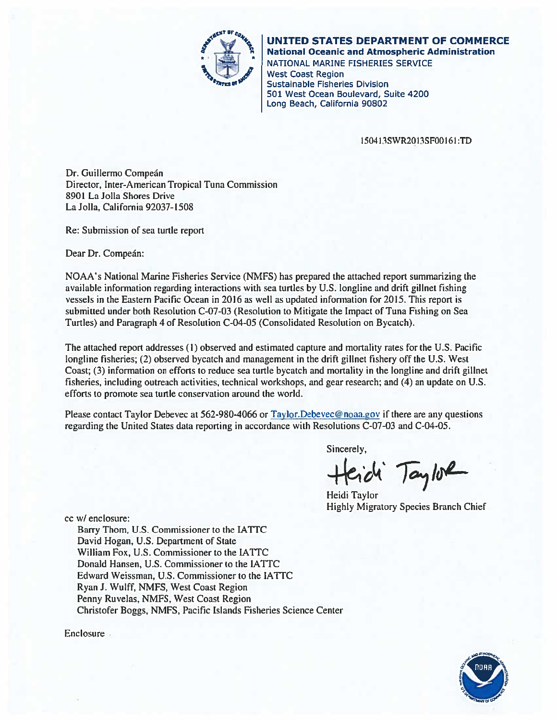

# UNITED STATES DEPARTMENT OF COMMERCE

**National Oceanic and Atmospheric Administration** NATIONAL MARINE FISHERIES SERVICE **West Coast Region Sustainable Fisheries Division** 501 West Ocean Boulevard, Suite 4200

Long Beach, California 90802

150413SWR2013SF00161:TD

Dr. Guillermo Compeán Director, Inter-American Tropical Tuna Commission 8901 La Jolla Shores Drive La Jolla, California 92037-1508

Re: Submission of sea turtle report

Dear Dr. Compeán:

NOAA's National Marine Fisheries Service (NMFS) has prepared the attached report summarizing the available information regarding interactions with sea turtles by U.S. longline and drift gillnet fishing vessels in the Eastern Pacific Ocean in 2016 as well as updated information for 2015. This report is submitted under both Resolution C-07-03 (Resolution to Mitigate the Impact of Tuna Fishing on Sea Turtles) and Paragraph 4 of Resolution C-04-05 (Consolidated Resolution on Bycatch).

The attached report addresses (1) observed and estimated capture and mortality rates for the U.S. Pacific longline fisheries; (2) observed bycatch and management in the drift gillnet fishery off the U.S. West Coast; (3) information on efforts to reduce sea turtle bycatch and mortality in the longline and drift gillnet fisheries, including outreach activities, technical workshops, and gear research; and (4) an update on U.S. efforts to promote sea turtle conservation around the world.

Please contact Taylor Debevec at 562-980-4066 or Taylor.Debevec@noaa.gov if there are any questions regarding the United States data reporting in accordance with Resolutions C-07-03 and C-04-05.

Sincerely,

cide Taylor

Heidi Taylor **Highly Migratory Species Branch Chief** 

cc w/ enclosure:

Barry Thom, U.S. Commissioner to the IATTC David Hogan, U.S. Department of State William Fox, U.S. Commissioner to the IATTC Donald Hansen, U.S. Commissioner to the IATTC Edward Weissman, U.S. Commissioner to the IATTC Ryan J. Wulff, NMFS, West Coast Region Penny Ruvelas, NMFS, West Coast Region Christofer Boggs, NMFS, Pacific Islands Fisheries Science Center



Enclosure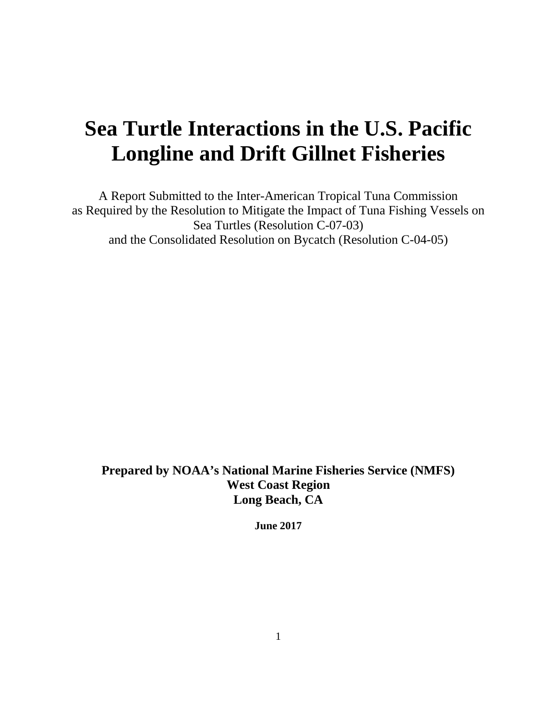# **Sea Turtle Interactions in the U.S. Pacific Longline and Drift Gillnet Fisheries**

A Report Submitted to the Inter-American Tropical Tuna Commission as Required by the Resolution to Mitigate the Impact of Tuna Fishing Vessels on Sea Turtles (Resolution C-07-03) and the Consolidated Resolution on Bycatch (Resolution C-04-05)

**Prepared by NOAA's National Marine Fisheries Service (NMFS) West Coast Region Long Beach, CA**

**June 2017**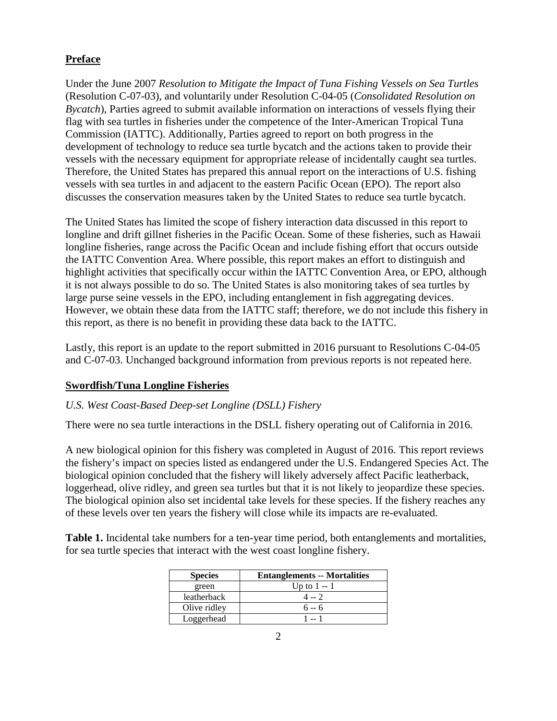# **Preface**

Under the June 2007 *Resolution to Mitigate the Impact of Tuna Fishing Vessels on Sea Turtles* (Resolution C-07-03), and voluntarily under Resolution C-04-05 (*Consolidated Resolution on Bycatch*), Parties agreed to submit available information on interactions of vessels flying their flag with sea turtles in fisheries under the competence of the Inter-American Tropical Tuna Commission (IATTC). Additionally, Parties agreed to report on both progress in the development of technology to reduce sea turtle bycatch and the actions taken to provide their vessels with the necessary equipment for appropriate release of incidentally caught sea turtles. Therefore, the United States has prepared this annual report on the interactions of U.S. fishing vessels with sea turtles in and adjacent to the eastern Pacific Ocean (EPO). The report also discusses the conservation measures taken by the United States to reduce sea turtle bycatch.

The United States has limited the scope of fishery interaction data discussed in this report to longline and drift gillnet fisheries in the Pacific Ocean. Some of these fisheries, such as Hawaii longline fisheries, range across the Pacific Ocean and include fishing effort that occurs outside the IATTC Convention Area. Where possible, this report makes an effort to distinguish and highlight activities that specifically occur within the IATTC Convention Area, or EPO, although it is not always possible to do so. The United States is also monitoring takes of sea turtles by large purse seine vessels in the EPO, including entanglement in fish aggregating devices. However, we obtain these data from the IATTC staff; therefore, we do not include this fishery in this report, as there is no benefit in providing these data back to the IATTC.

Lastly, this report is an update to the report submitted in 2016 pursuant to Resolutions C-04-05 and C-07-03. Unchanged background information from previous reports is not repeated here.

# **Swordfish/Tuna Longline Fisheries**

## *U.S. West Coast-Based Deep-set Longline (DSLL) Fishery*

There were no sea turtle interactions in the DSLL fishery operating out of California in 2016.

A new biological opinion for this fishery was completed in August of 2016. This report reviews the fishery's impact on species listed as endangered under the U.S. Endangered Species Act. The biological opinion concluded that the fishery will likely adversely affect Pacific leatherback, loggerhead, olive ridley, and green sea turtles but that it is not likely to jeopardize these species. The biological opinion also set incidental take levels for these species. If the fishery reaches any of these levels over ten years the fishery will close while its impacts are re-evaluated.

**Table 1.** Incidental take numbers for a ten-year time period, both entanglements and mortalities, for sea turtle species that interact with the west coast longline fishery.

| <b>Species</b> | <b>Entanglements -- Mortalities</b> |
|----------------|-------------------------------------|
| green          | Up to $1 - 1$                       |
| leatherback    | $4 - 2$                             |
| Olive ridley   | $6 - 6$                             |
| Loggerhead     | 1 -- 1                              |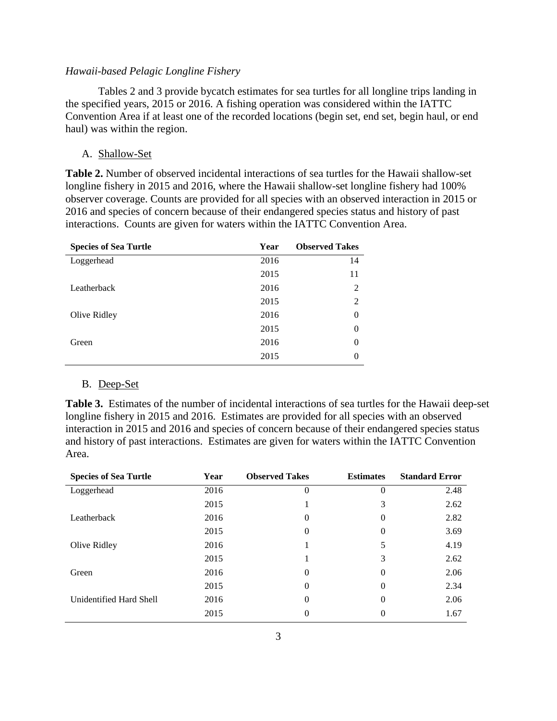## *Hawaii-based Pelagic Longline Fishery*

Tables 2 and 3 provide bycatch estimates for sea turtles for all longline trips landing in the specified years, 2015 or 2016. A fishing operation was considered within the IATTC Convention Area if at least one of the recorded locations (begin set, end set, begin haul, or end haul) was within the region.

#### A. Shallow-Set

**Table 2.** Number of observed incidental interactions of sea turtles for the Hawaii shallow-set longline fishery in 2015 and 2016, where the Hawaii shallow-set longline fishery had 100% observer coverage. Counts are provided for all species with an observed interaction in 2015 or 2016 and species of concern because of their endangered species status and history of past interactions. Counts are given for waters within the IATTC Convention Area.

| <b>Species of Sea Turtle</b> | Year | <b>Observed Takes</b> |
|------------------------------|------|-----------------------|
| Loggerhead                   | 2016 | 14                    |
|                              | 2015 | 11                    |
| Leatherback                  | 2016 | $\overline{2}$        |
|                              | 2015 | $\overline{2}$        |
| Olive Ridley                 | 2016 | 0                     |
|                              | 2015 | $\theta$              |
| Green                        | 2016 | $\theta$              |
|                              | 2015 | 0                     |

#### B. Deep-Set

**Table 3.** Estimates of the number of incidental interactions of sea turtles for the Hawaii deep-set longline fishery in 2015 and 2016. Estimates are provided for all species with an observed interaction in 2015 and 2016 and species of concern because of their endangered species status and history of past interactions. Estimates are given for waters within the IATTC Convention Area.

| <b>Species of Sea Turtle</b> | Year | <b>Observed Takes</b> | <b>Estimates</b> | <b>Standard Error</b> |  |
|------------------------------|------|-----------------------|------------------|-----------------------|--|
| Loggerhead                   | 2016 | 0                     | $\Omega$         | 2.48                  |  |
|                              | 2015 |                       | 3                | 2.62                  |  |
| Leatherback                  | 2016 | $\theta$              | $\theta$         | 2.82                  |  |
|                              | 2015 | 0                     | 0                | 3.69                  |  |
| Olive Ridley                 | 2016 |                       | 5                | 4.19                  |  |
|                              | 2015 |                       | 3                | 2.62                  |  |
| Green                        | 2016 | 0                     | $\Omega$         | 2.06                  |  |
|                              | 2015 | 0                     | $\Omega$         | 2.34                  |  |
| Unidentified Hard Shell      | 2016 | 0                     | $\Omega$         | 2.06                  |  |
|                              | 2015 | 0                     | $\Omega$         | 1.67                  |  |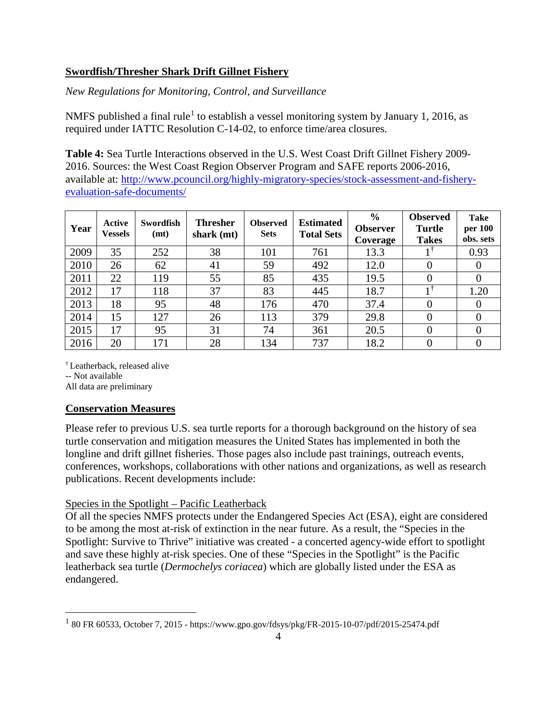# **Swordfish/Thresher Shark Drift Gillnet Fishery**

*New Regulations for Monitoring, Control, and Surveillance*

NMFS published a final rule<sup>[1](#page-10-0)</sup> to establish a vessel monitoring system by January 1, 2016, as required under IATTC Resolution C-14-02, to enforce time/area closures.

**Table 4:** Sea Turtle Interactions observed in the U.S. West Coast Drift Gillnet Fishery 2009- 2016. Sources: the West Coast Region Observer Program and SAFE reports 2006-2016, available at: [http://www.pcouncil.org/highly-migratory-species/stock-assessment-and-fishery](http://www.pcouncil.org/highly-migratory-species/stock-assessment-and-fishery-evaluation-safe-documents/)[evaluation-safe-documents/](http://www.pcouncil.org/highly-migratory-species/stock-assessment-and-fishery-evaluation-safe-documents/)

| Year | Active<br><b>Vessels</b> | Swordfish<br>(mt) | <b>Thresher</b><br>shark $(mt)$ | <b>Observed</b><br><b>Sets</b> | <b>Estimated</b><br><b>Total Sets</b> | $\frac{0}{0}$<br><b>Observer</b><br>Coverage | <b>Observed</b><br>Turtle<br><b>Takes</b> | Take<br>per 100<br>obs. sets |
|------|--------------------------|-------------------|---------------------------------|--------------------------------|---------------------------------------|----------------------------------------------|-------------------------------------------|------------------------------|
| 2009 | 35                       | 252               | 38                              | 101                            | 761                                   | 13.3                                         |                                           | 0.93                         |
| 2010 | 26                       | 62                | 41                              | 59                             | 492                                   | 12.0                                         |                                           | 0                            |
| 2011 | 22                       | 119               | 55                              | 85                             | 435                                   | 19.5                                         |                                           |                              |
| 2012 | 17                       | 118               | 37                              | 83                             | 445                                   | 18.7                                         | 11                                        | 1.20                         |
| 2013 | 18                       | 95                | 48                              | 176                            | 470                                   | 37.4                                         |                                           |                              |
| 2014 | 15                       | 127               | 26                              | 113                            | 379                                   | 29.8                                         |                                           | 0                            |
| 2015 | 17                       | 95                | 31                              | 74                             | 361                                   | 20.5                                         | 0                                         |                              |
| 2016 | 20                       | 171               | 28                              | 134                            | 737                                   | 18.2                                         |                                           | 0                            |

† Leatherback, released alive

-- Not available

All data are preliminary

# **Conservation Measures**

Please refer to previous U.S. sea turtle reports for a thorough background on the history of sea turtle conservation and mitigation measures the United States has implemented in both the longline and drift gillnet fisheries. Those pages also include past trainings, outreach events, conferences, workshops, collaborations with other nations and organizations, as well as research publications. Recent developments include:

# Species in the Spotlight – Pacific Leatherback

Of all the species NMFS protects under the Endangered Species Act (ESA), eight are considered to be among the most at-risk of extinction in the near future. As a result, the "Species in the Spotlight: Survive to Thrive" initiative was created - a concerted agency-wide effort to spotlight and save these highly at-risk species. One of these "Species in the Spotlight" is the Pacific leatherback sea turtle (*Dermochelys coriacea*) which are globally listed under the ESA as endangered.

<span id="page-10-0"></span> <sup>1</sup> 80 FR 60533, October 7, 2015 - https://www.gpo.gov/fdsys/pkg/FR-2015-10-07/pdf/2015-25474.pdf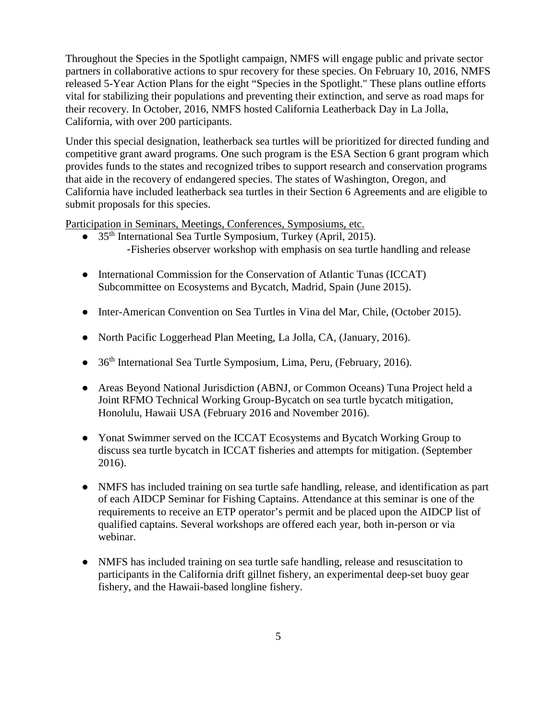Throughout the Species in the Spotlight campaign, NMFS will engage public and private sector partners in collaborative actions to spur recovery for these species. On February 10, 2016, NMFS released 5-Year Action Plans for the eight "Species in the Spotlight." These plans outline efforts vital for stabilizing their populations and preventing their extinction, and serve as road maps for their recovery. In October, 2016, NMFS hosted California Leatherback Day in La Jolla, California, with over 200 participants.

Under this special designation, leatherback sea turtles will be prioritized for directed funding and competitive grant award programs. One such program is the ESA Section 6 grant program which provides funds to the states and recognized tribes to support research and conservation programs that aide in the recovery of endangered species. The states of Washington, Oregon, and California have included leatherback sea turtles in their Section 6 Agreements and are eligible to submit proposals for this species.

Participation in Seminars, Meetings, Conferences, Symposiums, etc.

- 35<sup>th</sup> International Sea Turtle Symposium, Turkey (April, 2015). -Fisheries observer workshop with emphasis on sea turtle handling and release
- International Commission for the Conservation of Atlantic Tunas (ICCAT) Subcommittee on Ecosystems and Bycatch, Madrid, Spain (June 2015).
- Inter-American Convention on Sea Turtles in Vina del Mar, Chile, (October 2015).
- North Pacific Loggerhead Plan Meeting, La Jolla, CA, (January, 2016).
- 36<sup>th</sup> International Sea Turtle Symposium, Lima, Peru, (February, 2016).
- Areas Beyond National Jurisdiction (ABNJ, or Common Oceans) Tuna Project held a Joint RFMO Technical Working Group-Bycatch on sea turtle bycatch mitigation, Honolulu, Hawaii USA (February 2016 and November 2016).
- Yonat Swimmer served on the ICCAT Ecosystems and Bycatch Working Group to discuss sea turtle bycatch in ICCAT fisheries and attempts for mitigation. (September 2016).
- NMFS has included training on sea turtle safe handling, release, and identification as part of each AIDCP Seminar for Fishing Captains. Attendance at this seminar is one of the requirements to receive an ETP operator's permit and be placed upon the AIDCP list of qualified captains. Several workshops are offered each year, both in-person or via webinar.
- NMFS has included training on sea turtle safe handling, release and resuscitation to participants in the California drift gillnet fishery, an experimental deep-set buoy gear fishery, and the Hawaii-based longline fishery.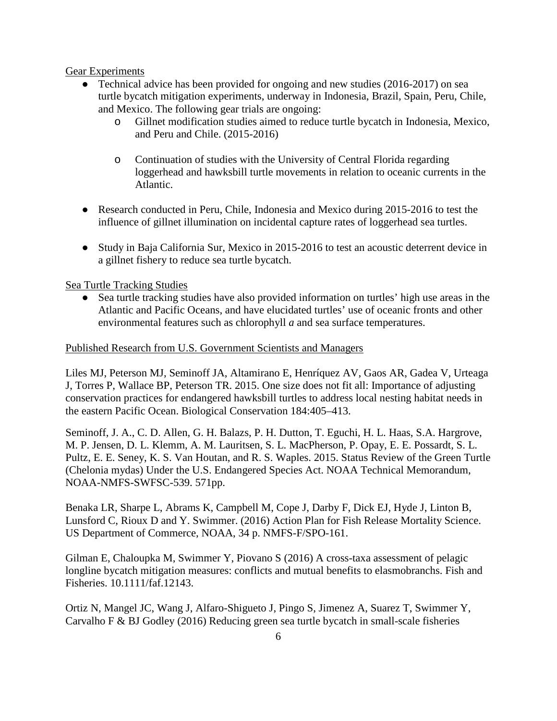Gear Experiments

- Technical advice has been provided for ongoing and new studies (2016-2017) on sea turtle bycatch mitigation experiments, underway in Indonesia, Brazil, Spain, Peru, Chile, and Mexico. The following gear trials are ongoing:
	- o Gillnet modification studies aimed to reduce turtle bycatch in Indonesia, Mexico, and Peru and Chile. (2015-2016)
	- o Continuation of studies with the University of Central Florida regarding loggerhead and hawksbill turtle movements in relation to oceanic currents in the Atlantic.
- Research conducted in Peru, Chile, Indonesia and Mexico during 2015-2016 to test the influence of gillnet illumination on incidental capture rates of loggerhead sea turtles.
- Study in Baja California Sur, Mexico in 2015-2016 to test an acoustic deterrent device in a gillnet fishery to reduce sea turtle bycatch.

Sea Turtle Tracking Studies

● Sea turtle tracking studies have also provided information on turtles' high use areas in the Atlantic and Pacific Oceans, and have elucidated turtles' use of oceanic fronts and other environmental features such as chlorophyll *a* and sea surface temperatures.

## Published Research from U.S. Government Scientists and Managers

Liles MJ, Peterson MJ, Seminoff JA, Altamirano E, Henríquez AV, Gaos AR, Gadea V, Urteaga J, Torres P, Wallace BP, Peterson TR. 2015. One size does not fit all: Importance of adjusting conservation practices for endangered hawksbill turtles to address local nesting habitat needs in the eastern Pacific Ocean. Biological Conservation 184:405–413.

Seminoff, J. A., C. D. Allen, G. H. Balazs, P. H. Dutton, T. Eguchi, H. L. Haas, S.A. Hargrove, M. P. Jensen, D. L. Klemm, A. M. Lauritsen, S. L. MacPherson, P. Opay, E. E. Possardt, S. L. Pultz, E. E. Seney, K. S. Van Houtan, and R. S. Waples. 2015. Status Review of the Green Turtle (Chelonia mydas) Under the U.S. Endangered Species Act. NOAA Technical Memorandum, NOAA-NMFS-SWFSC-539. 571pp.

Benaka LR, Sharpe L, Abrams K, Campbell M, Cope J, Darby F, Dick EJ, Hyde J, Linton B, Lunsford C, Rioux D and Y. Swimmer. (2016) Action Plan for Fish Release Mortality Science. US Department of Commerce, NOAA, 34 p. NMFS-F/SPO-161.

Gilman E, Chaloupka M, Swimmer Y, Piovano S (2016) A cross-taxa assessment of pelagic longline bycatch mitigation measures: conflicts and mutual benefits to elasmobranchs. Fish and Fisheries. 10.1111/faf.12143.

Ortiz N, Mangel JC, Wang J, Alfaro-Shigueto J, Pingo S, Jimenez A, Suarez T, Swimmer Y, Carvalho F & BJ Godley (2016) Reducing green sea turtle bycatch in small-scale fisheries